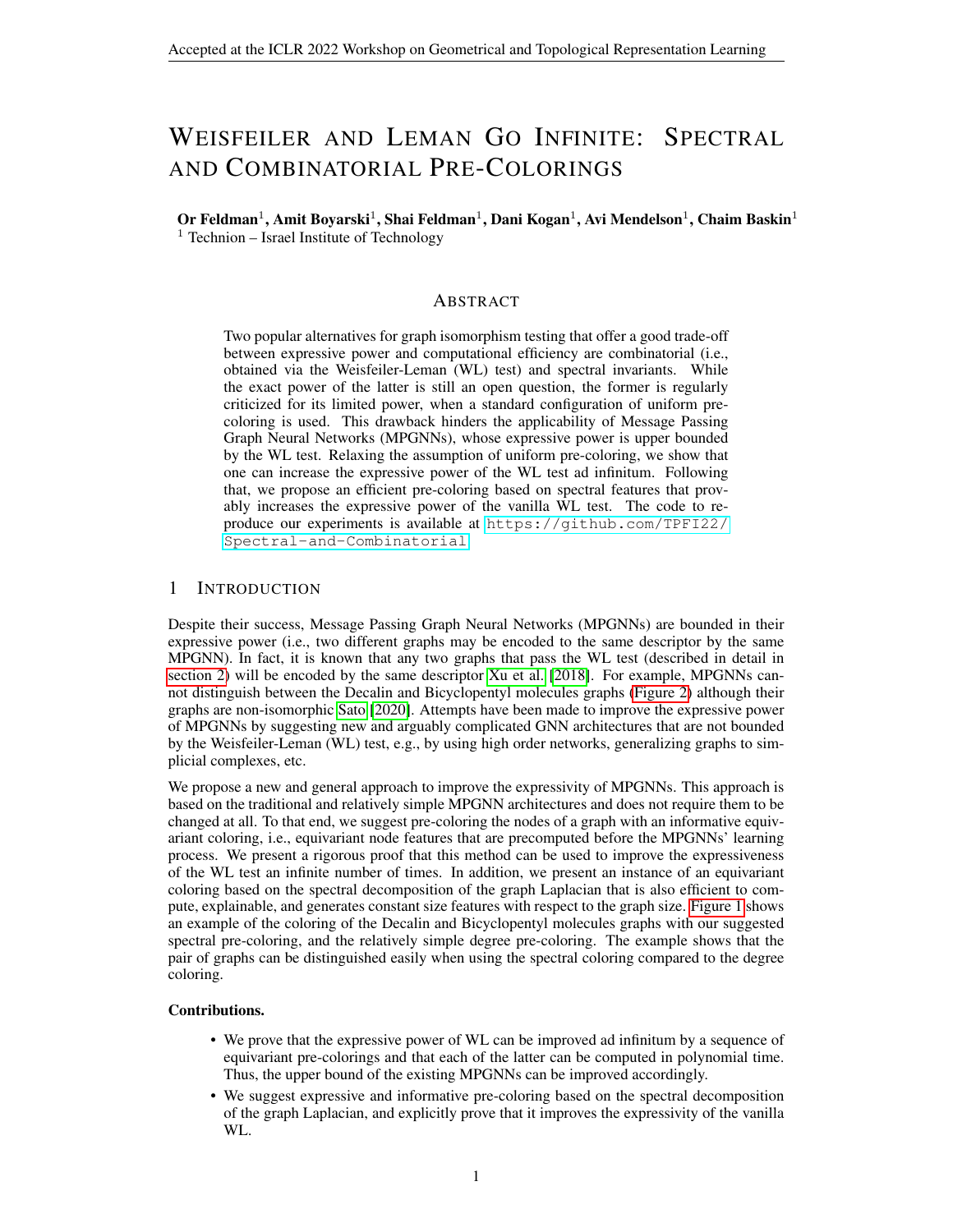# WEISFEILER AND LEMAN GO INFINITE: SPECTRAL AND COMBINATORIAL PRE-COLORINGS

Or Feldman $^1$ , Amit Boyarski $^1$ , Shai Feldman $^1$ , Dani Kogan $^1$ , Avi Mendelson $^1$ , Chaim Baskin $^1$  $1$  Technion – Israel Institute of Technology

## ABSTRACT

Two popular alternatives for graph isomorphism testing that offer a good trade-off between expressive power and computational efficiency are combinatorial (i.e., obtained via the Weisfeiler-Leman (WL) test) and spectral invariants. While the exact power of the latter is still an open question, the former is regularly criticized for its limited power, when a standard configuration of uniform precoloring is used. This drawback hinders the applicability of Message Passing Graph Neural Networks (MPGNNs), whose expressive power is upper bounded by the WL test. Relaxing the assumption of uniform pre-coloring, we show that one can increase the expressive power of the WL test ad infinitum. Following that, we propose an efficient pre-coloring based on spectral features that provably increases the expressive power of the vanilla WL test. The code to reproduce our experiments is available at [https://github.com/TPFI22/](https://github.com/TPFI22/Spectral-and-Combinatorial) [Spectral-and-Combinatorial](https://github.com/TPFI22/Spectral-and-Combinatorial).

# 1 INTRODUCTION

Despite their success, Message Passing Graph Neural Networks (MPGNNs) are bounded in their expressive power (i.e., two different graphs may be encoded to the same descriptor by the same MPGNN). In fact, it is known that any two graphs that pass the WL test (described in detail in [section 2\)](#page-1-0) will be encoded by the same descriptor [Xu et al.](#page-4-0) [\[2018\]](#page-4-0). For example, MPGNNs cannot distinguish between the Decalin and Bicyclopentyl molecules graphs [\(Figure 2\)](#page-8-0) although their graphs are non-isomorphic [Sato](#page-4-1) [\[2020\]](#page-4-1). Attempts have been made to improve the expressive power of MPGNNs by suggesting new and arguably complicated GNN architectures that are not bounded by the Weisfeiler-Leman (WL) test, e.g., by using high order networks, generalizing graphs to simplicial complexes, etc.

We propose a new and general approach to improve the expressivity of MPGNNs. This approach is based on the traditional and relatively simple MPGNN architectures and does not require them to be changed at all. To that end, we suggest pre-coloring the nodes of a graph with an informative equivariant coloring, i.e., equivariant node features that are precomputed before the MPGNNs' learning process. We present a rigorous proof that this method can be used to improve the expressiveness of the WL test an infinite number of times. In addition, we present an instance of an equivariant coloring based on the spectral decomposition of the graph Laplacian that is also efficient to compute, explainable, and generates constant size features with respect to the graph size. [Figure 1](#page-8-1) shows an example of the coloring of the Decalin and Bicyclopentyl molecules graphs with our suggested spectral pre-coloring, and the relatively simple degree pre-coloring. The example shows that the pair of graphs can be distinguished easily when using the spectral coloring compared to the degree coloring.

#### Contributions.

- We prove that the expressive power of WL can be improved ad infinitum by a sequence of equivariant pre-colorings and that each of the latter can be computed in polynomial time. Thus, the upper bound of the existing MPGNNs can be improved accordingly.
- We suggest expressive and informative pre-coloring based on the spectral decomposition of the graph Laplacian, and explicitly prove that it improves the expressivity of the vanilla WL.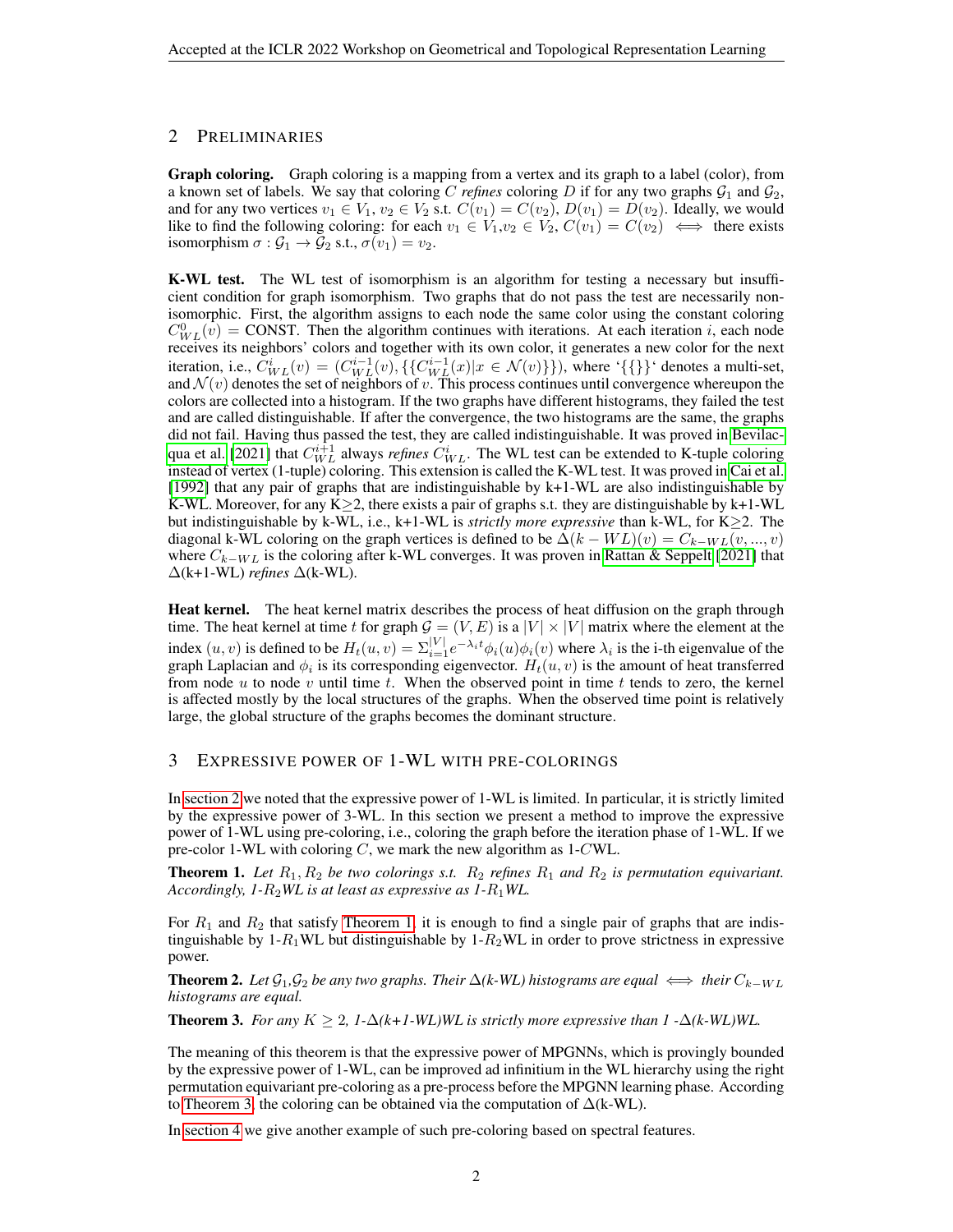# <span id="page-1-0"></span>2 PRELIMINARIES

Graph coloring. Graph coloring is a mapping from a vertex and its graph to a label (color), from a known set of labels. We say that coloring C *refines* coloring D if for any two graphs  $G_1$  and  $G_2$ , and for any two vertices  $v_1 \in V_1$ ,  $v_2 \in V_2$  s.t.  $C(v_1) = C(v_2)$ ,  $D(v_1) = D(v_2)$ . Ideally, we would like to find the following coloring: for each  $v_1 \in V_1, v_2 \in V_2, C(v_1) = C(v_2) \iff$  there exists isomorphism  $\sigma : \mathcal{G}_1 \to \mathcal{G}_2$  s.t.,  $\sigma(v_1) = v_2$ .

K-WL test. The WL test of isomorphism is an algorithm for testing a necessary but insufficient condition for graph isomorphism. Two graphs that do not pass the test are necessarily nonisomorphic. First, the algorithm assigns to each node the same color using the constant coloring  $C_{WL}^{0}(\hat{v})$  = CONST. Then the algorithm continues with iterations. At each iteration *i*, each node receives its neighbors' colors and together with its own color, it generates a new color for the next iteration, i.e.,  $C_{WL}^{i}(v) = (C_{WL}^{i-1}(v), \{\{C_{WL}^{i-1}(x)|x \in \mathcal{N}(v)\}\})$ , where ' $\{\{\}\}$ ' denotes a multi-set, and  $\mathcal{N}(v)$  denotes the set of neighbors of v. This process continues until convergence whereupon the colors are collected into a histogram. If the two graphs have different histograms, they failed the test and are called distinguishable. If after the convergence, the two histograms are the same, the graphs did not fail. Having thus passed the test, they are called indistinguishable. It was proved in [Bevilac](#page-4-2)[qua et al.](#page-4-2) [\[2021\]](#page-4-2) that  $C_{WL}^{i+1}$  always *refines*  $C_{WL}^{i}$ . The WL test can be extended to K-tuple coloring instead of vertex (1-tuple) coloring. This extension is called the K-WL test. It was proved in [Cai et al.](#page-4-3) [\[1992\]](#page-4-3) that any pair of graphs that are indistinguishable by k+1-WL are also indistinguishable by K-WL. Moreover, for any K $\geq$ 2, there exists a pair of graphs s.t. they are distinguishable by k+1-WL but indistinguishable by k-WL, i.e., k+1-WL is *strictly more expressive* than k-WL, for K≥2. The diagonal k-WL coloring on the graph vertices is defined to be  $\Delta(k - WL)(v) = C_{k-WL}(v, ..., v)$ where  $C_{k-WL}$  is the coloring after k-WL converges. It was proven in [Rattan & Seppelt](#page-4-4) [\[2021\]](#page-4-4) that ∆(k+1-WL) *refines* ∆(k-WL).

Heat kernel. The heat kernel matrix describes the process of heat diffusion on the graph through time. The heat kernel at time t for graph  $G = (V, E)$  is a  $|V| \times |V|$  matrix where the element at the index  $(u, v)$  is defined to be  $H_t(u, v) = \sum_{i=1}^{|V|} e^{-\lambda_i t} \phi_i(u) \phi_i(v)$  where  $\lambda_i$  is the i-th eigenvalue of the graph Laplacian and  $\phi_i$  is its corresponding eigenvector.  $H_t(u, v)$  is the amount of heat transferred from node  $u$  to node  $v$  until time  $t$ . When the observed point in time  $t$  tends to zero, the kernel is affected mostly by the local structures of the graphs. When the observed time point is relatively large, the global structure of the graphs becomes the dominant structure.

# 3 EXPRESSIVE POWER OF 1-WL WITH PRE-COLORINGS

In [section 2](#page-1-0) we noted that the expressive power of 1-WL is limited. In particular, it is strictly limited by the expressive power of 3-WL. In this section we present a method to improve the expressive power of 1-WL using pre-coloring, i.e., coloring the graph before the iteration phase of 1-WL. If we pre-color 1-WL with coloring  $C$ , we mark the new algorithm as 1-CWL.

<span id="page-1-1"></span>**Theorem 1.** Let  $R_1, R_2$  be two colorings s.t.  $R_2$  refines  $R_1$  and  $R_2$  is permutation equivariant. *Accordingly, 1-*R2*WL is at least as expressive as 1-*R1*WL.*

For  $R_1$  and  $R_2$  that satisfy [Theorem 1,](#page-1-1) it is enough to find a single pair of graphs that are indistinguishable by  $1-R_1WL$  but distinguishable by  $1-R_2WL$  in order to prove strictness in expressive power.

<span id="page-1-3"></span>**Theorem 2.** Let  $\mathcal{G}_1, \mathcal{G}_2$  be any two graphs. Their  $\Delta(k-WL)$  histograms are equal  $\iff$  their  $C_{k-WL}$ *histograms are equal.*

<span id="page-1-2"></span>**Theorem 3.** *For any*  $K \geq 2$ ,  $1-\Delta(k+1-WL)WL$  is strictly more expressive than  $1-\Delta(k-WL)WL$ .

The meaning of this theorem is that the expressive power of MPGNNs, which is provingly bounded by the expressive power of 1-WL, can be improved ad infinitium in the WL hierarchy using the right permutation equivariant pre-coloring as a pre-process before the MPGNN learning phase. According to [Theorem 3,](#page-1-2) the coloring can be obtained via the computation of  $\Delta$ (k-WL).

In [section 4](#page-2-0) we give another example of such pre-coloring based on spectral features.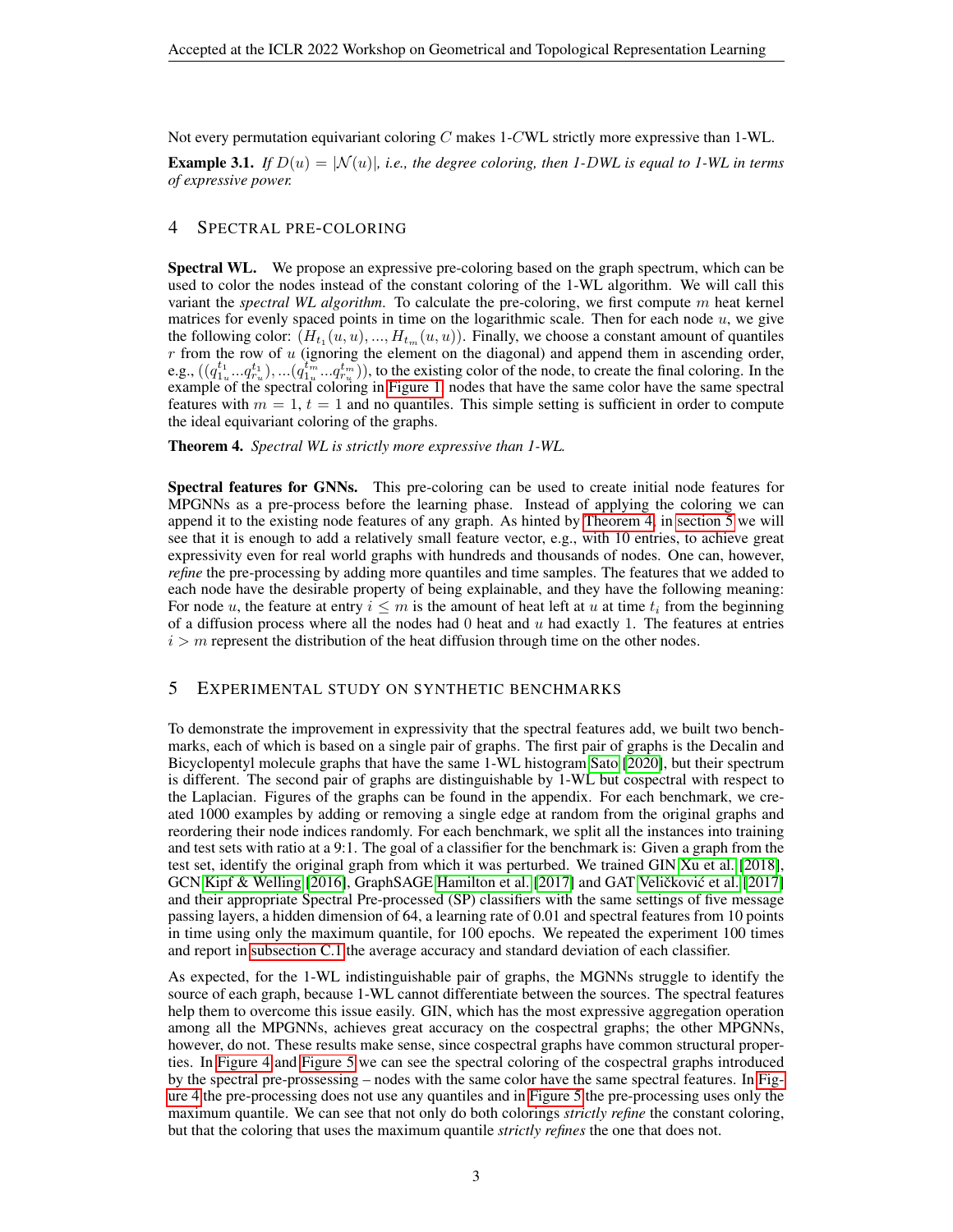Not every permutation equivariant coloring  $C$  makes 1-CWL strictly more expressive than 1-WL.

**Example 3.1.** *If*  $D(u) = |\mathcal{N}(u)|$ , *i.e., the degree coloring, then 1-DWL is equal to 1-WL in terms of expressive power.*

# <span id="page-2-0"></span>4 SPECTRAL PRE-COLORING

Spectral WL. We propose an expressive pre-coloring based on the graph spectrum, which can be used to color the nodes instead of the constant coloring of the 1-WL algorithm. We will call this variant the *spectral WL algorithm*. To calculate the pre-coloring, we first compute m heat kernel matrices for evenly spaced points in time on the logarithmic scale. Then for each node  $u$ , we give the following color:  $(H_{t_1}(u, u),..., H_{t_m}(u, u))$ . Finally, we choose a constant amount of quantiles  $r$  from the row of  $u$  (ignoring the element on the diagonal) and append them in ascending order, e.g.,  $((q_{1_u}^{t_1}...q_{r_u}^{t_1}),...(q_{1_u}^{t_m}...q_{r_u}^{t_m})),$  to the existing color of the node, to create the final coloring. In the example of the spectral coloring in [Figure 1,](#page-8-1) nodes that have the same color have the same spectral features with  $m = 1$ ,  $t = 1$  and no quantiles. This simple setting is sufficient in order to compute the ideal equivariant coloring of the graphs.

<span id="page-2-1"></span>Theorem 4. *Spectral WL is strictly more expressive than 1-WL.*

Spectral features for GNNs. This pre-coloring can be used to create initial node features for MPGNNs as a pre-process before the learning phase. Instead of applying the coloring we can append it to the existing node features of any graph. As hinted by [Theorem 4,](#page-2-1) in [section 5](#page-2-2) we will see that it is enough to add a relatively small feature vector, e.g., with 10 entries, to achieve great expressivity even for real world graphs with hundreds and thousands of nodes. One can, however, *refine* the pre-processing by adding more quantiles and time samples. The features that we added to each node have the desirable property of being explainable, and they have the following meaning: For node u, the feature at entry  $i \leq m$  is the amount of heat left at u at time  $t_i$  from the beginning of a diffusion process where all the nodes had  $0$  heat and  $u$  had exactly 1. The features at entries  $i > m$  represent the distribution of the heat diffusion through time on the other nodes.

#### <span id="page-2-2"></span>5 EXPERIMENTAL STUDY ON SYNTHETIC BENCHMARKS

To demonstrate the improvement in expressivity that the spectral features add, we built two benchmarks, each of which is based on a single pair of graphs. The first pair of graphs is the Decalin and Bicyclopentyl molecule graphs that have the same 1-WL histogram [Sato](#page-4-1) [\[2020\]](#page-4-1), but their spectrum is different. The second pair of graphs are distinguishable by 1-WL but cospectral with respect to the Laplacian. Figures of the graphs can be found in the appendix. For each benchmark, we created 1000 examples by adding or removing a single edge at random from the original graphs and reordering their node indices randomly. For each benchmark, we split all the instances into training and test sets with ratio at a 9:1. The goal of a classifier for the benchmark is: Given a graph from the test set, identify the original graph from which it was perturbed. We trained GIN [Xu et al.](#page-4-0) [\[2018\]](#page-4-0), GCN [Kipf & Welling](#page-4-5) [\[2016\]](#page-4-5), GraphSAGE [Hamilton et al.](#page-4-6) [\[2017\]](#page-4-7) and GAT Veličković et al. [2017] and their appropriate Spectral Pre-processed (SP) classifiers with the same settings of five message passing layers, a hidden dimension of 64, a learning rate of 0.01 and spectral features from 10 points in time using only the maximum quantile, for 100 epochs. We repeated the experiment 100 times and report in [subsection C.1](#page-10-0) the average accuracy and standard deviation of each classifier.

As expected, for the 1-WL indistinguishable pair of graphs, the MGNNs struggle to identify the source of each graph, because 1-WL cannot differentiate between the sources. The spectral features help them to overcome this issue easily. GIN, which has the most expressive aggregation operation among all the MPGNNs, achieves great accuracy on the cospectral graphs; the other MPGNNs, however, do not. These results make sense, since cospectral graphs have common structural properties. In [Figure 4](#page-9-0) and [Figure 5](#page-9-1) we can see the spectral coloring of the cospectral graphs introduced by the spectral pre-prossessing – nodes with the same color have the same spectral features. In [Fig](#page-9-0)[ure 4](#page-9-0) the pre-processing does not use any quantiles and in [Figure 5](#page-9-1) the pre-processing uses only the maximum quantile. We can see that not only do both colorings *strictly refine* the constant coloring, but that the coloring that uses the maximum quantile *strictly refines* the one that does not.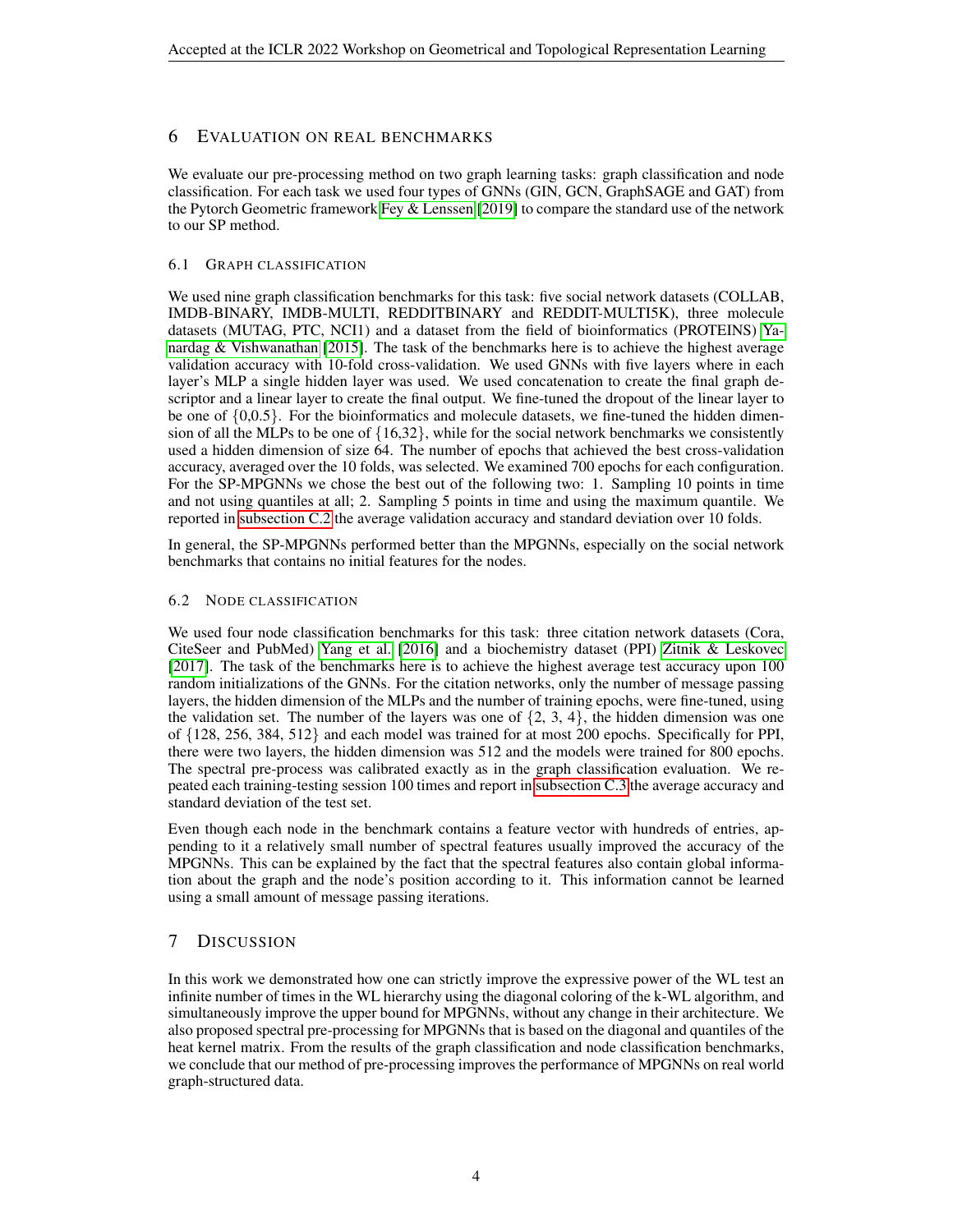# 6 EVALUATION ON REAL BENCHMARKS

We evaluate our pre-processing method on two graph learning tasks: graph classification and node classification. For each task we used four types of GNNs (GIN, GCN, GraphSAGE and GAT) from the Pytorch Geometric framework Fey  $&$  Lenssen [\[2019\]](#page-4-8) to compare the standard use of the network to our SP method.

# 6.1 GRAPH CLASSIFICATION

We used nine graph classification benchmarks for this task: five social network datasets (COLLAB, IMDB-BINARY, IMDB-MULTI, REDDITBINARY and REDDIT-MULTI5K), three molecule datasets (MUTAG, PTC, NCI1) and a dataset from the field of bioinformatics (PROTEINS) [Ya](#page-4-9)[nardag & Vishwanathan](#page-4-9) [\[2015\]](#page-4-9). The task of the benchmarks here is to achieve the highest average validation accuracy with 10-fold cross-validation. We used GNNs with five layers where in each layer's MLP a single hidden layer was used. We used concatenation to create the final graph descriptor and a linear layer to create the final output. We fine-tuned the dropout of the linear layer to be one of  $\{0,0.5\}$ . For the bioinformatics and molecule datasets, we fine-tuned the hidden dimension of all the MLPs to be one of  $\{16,32\}$ , while for the social network benchmarks we consistently used a hidden dimension of size 64. The number of epochs that achieved the best cross-validation accuracy, averaged over the 10 folds, was selected. We examined 700 epochs for each configuration. For the SP-MPGNNs we chose the best out of the following two: 1. Sampling 10 points in time and not using quantiles at all; 2. Sampling 5 points in time and using the maximum quantile. We reported in [subsection C.2](#page-11-0) the average validation accuracy and standard deviation over 10 folds.

In general, the SP-MPGNNs performed better than the MPGNNs, especially on the social network benchmarks that contains no initial features for the nodes.

# 6.2 NODE CLASSIFICATION

We used four node classification benchmarks for this task: three citation network datasets (Cora, CiteSeer and PubMed) [Yang et al.](#page-4-10) [\[2016\]](#page-4-10) and a biochemistry dataset (PPI) [Zitnik & Leskovec](#page-4-11) [\[2017\]](#page-4-11). The task of the benchmarks here is to achieve the highest average test accuracy upon 100 random initializations of the GNNs. For the citation networks, only the number of message passing layers, the hidden dimension of the MLPs and the number of training epochs, were fine-tuned, using the validation set. The number of the layers was one of  $\{2, 3, 4\}$ , the hidden dimension was one of {128, 256, 384, 512} and each model was trained for at most 200 epochs. Specifically for PPI, there were two layers, the hidden dimension was 512 and the models were trained for 800 epochs. The spectral pre-process was calibrated exactly as in the graph classification evaluation. We repeated each training-testing session 100 times and report in [subsection C.3](#page-11-1) the average accuracy and standard deviation of the test set.

Even though each node in the benchmark contains a feature vector with hundreds of entries, appending to it a relatively small number of spectral features usually improved the accuracy of the MPGNNs. This can be explained by the fact that the spectral features also contain global information about the graph and the node's position according to it. This information cannot be learned using a small amount of message passing iterations.

# 7 DISCUSSION

In this work we demonstrated how one can strictly improve the expressive power of the WL test an infinite number of times in the WL hierarchy using the diagonal coloring of the k-WL algorithm, and simultaneously improve the upper bound for MPGNNs, without any change in their architecture. We also proposed spectral pre-processing for MPGNNs that is based on the diagonal and quantiles of the heat kernel matrix. From the results of the graph classification and node classification benchmarks, we conclude that our method of pre-processing improves the performance of MPGNNs on real world graph-structured data.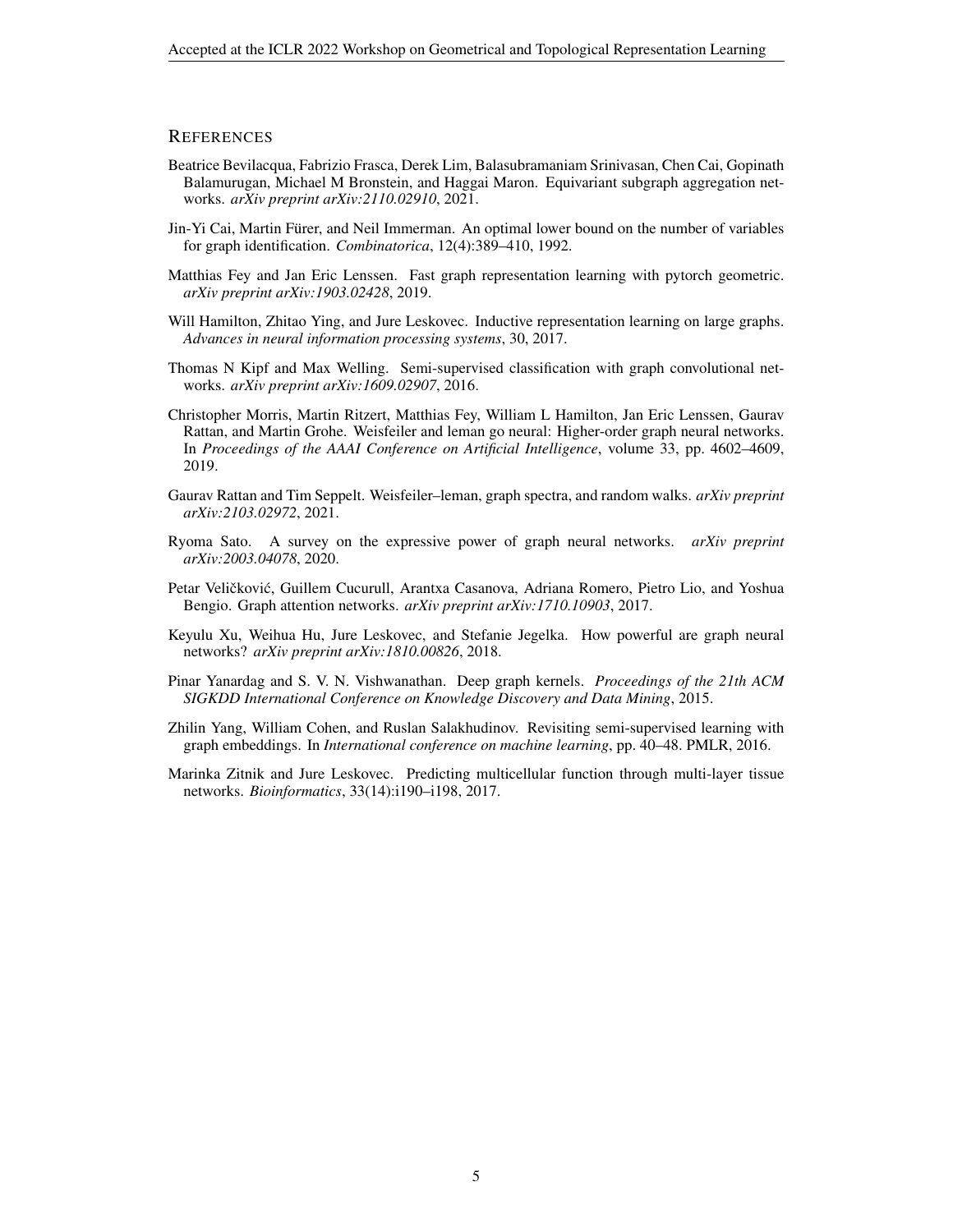#### **REFERENCES**

- <span id="page-4-2"></span>Beatrice Bevilacqua, Fabrizio Frasca, Derek Lim, Balasubramaniam Srinivasan, Chen Cai, Gopinath Balamurugan, Michael M Bronstein, and Haggai Maron. Equivariant subgraph aggregation networks. *arXiv preprint arXiv:2110.02910*, 2021.
- <span id="page-4-3"></span>Jin-Yi Cai, Martin Furer, and Neil Immerman. An optimal lower bound on the number of variables ¨ for graph identification. *Combinatorica*, 12(4):389–410, 1992.
- <span id="page-4-8"></span>Matthias Fey and Jan Eric Lenssen. Fast graph representation learning with pytorch geometric. *arXiv preprint arXiv:1903.02428*, 2019.
- <span id="page-4-6"></span>Will Hamilton, Zhitao Ying, and Jure Leskovec. Inductive representation learning on large graphs. *Advances in neural information processing systems*, 30, 2017.
- <span id="page-4-5"></span>Thomas N Kipf and Max Welling. Semi-supervised classification with graph convolutional networks. *arXiv preprint arXiv:1609.02907*, 2016.
- <span id="page-4-12"></span>Christopher Morris, Martin Ritzert, Matthias Fey, William L Hamilton, Jan Eric Lenssen, Gaurav Rattan, and Martin Grohe. Weisfeiler and leman go neural: Higher-order graph neural networks. In *Proceedings of the AAAI Conference on Artificial Intelligence*, volume 33, pp. 4602–4609, 2019.
- <span id="page-4-4"></span>Gaurav Rattan and Tim Seppelt. Weisfeiler–leman, graph spectra, and random walks. *arXiv preprint arXiv:2103.02972*, 2021.
- <span id="page-4-1"></span>Ryoma Sato. A survey on the expressive power of graph neural networks. *arXiv preprint arXiv:2003.04078*, 2020.
- <span id="page-4-7"></span>Petar Veličković, Guillem Cucurull, Arantxa Casanova, Adriana Romero, Pietro Lio, and Yoshua Bengio. Graph attention networks. *arXiv preprint arXiv:1710.10903*, 2017.
- <span id="page-4-0"></span>Keyulu Xu, Weihua Hu, Jure Leskovec, and Stefanie Jegelka. How powerful are graph neural networks? *arXiv preprint arXiv:1810.00826*, 2018.
- <span id="page-4-9"></span>Pinar Yanardag and S. V. N. Vishwanathan. Deep graph kernels. *Proceedings of the 21th ACM SIGKDD International Conference on Knowledge Discovery and Data Mining*, 2015.
- <span id="page-4-10"></span>Zhilin Yang, William Cohen, and Ruslan Salakhudinov. Revisiting semi-supervised learning with graph embeddings. In *International conference on machine learning*, pp. 40–48. PMLR, 2016.
- <span id="page-4-11"></span>Marinka Zitnik and Jure Leskovec. Predicting multicellular function through multi-layer tissue networks. *Bioinformatics*, 33(14):i190–i198, 2017.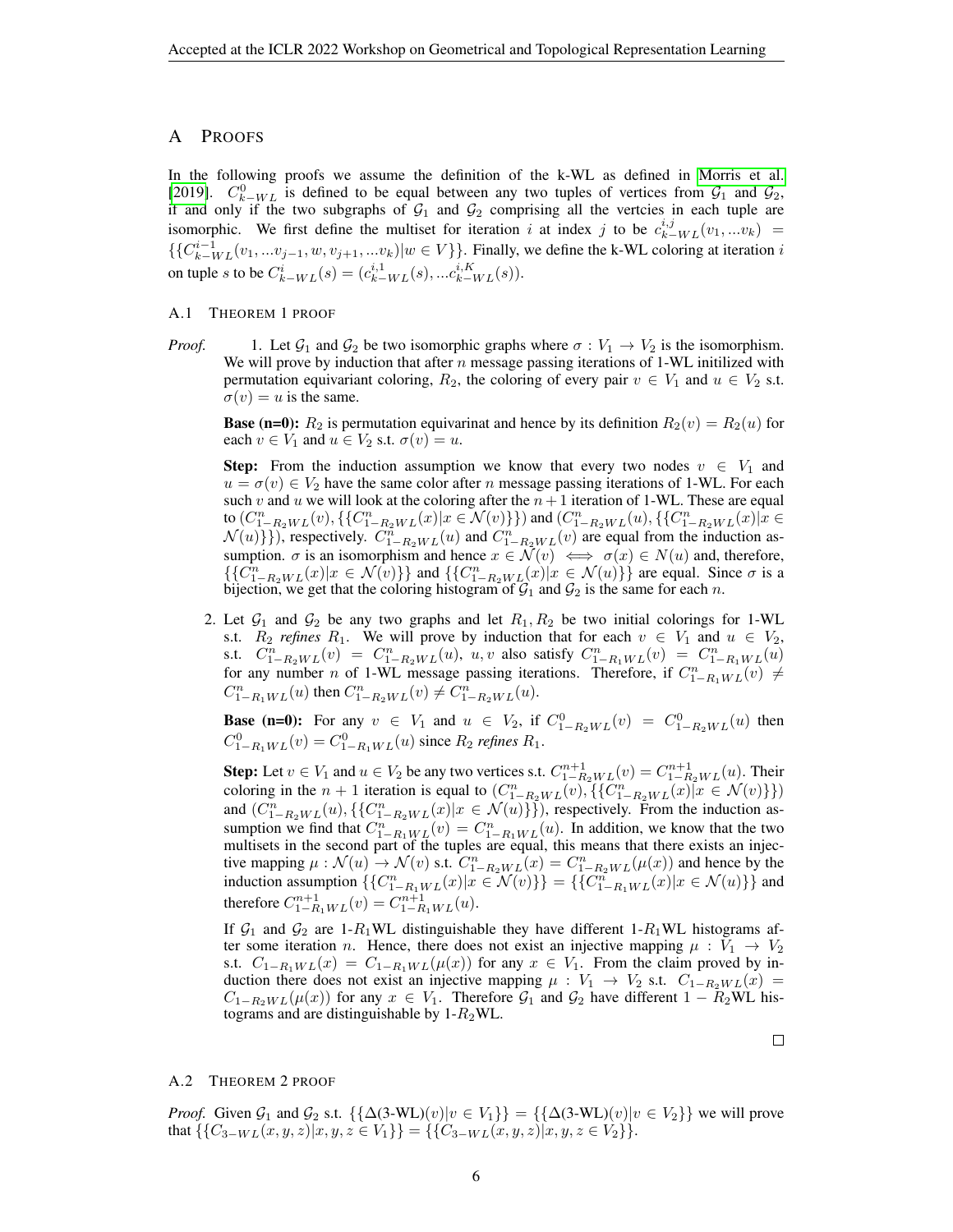#### A PROOFS

In the following proofs we assume the definition of the k-WL as defined in [Morris et al.](#page-4-12) [\[2019\]](#page-4-12).  $C_{k-WL}^0$  is defined to be equal between any two tuples of vertices from  $\mathcal{G}_1$  and  $\mathcal{G}_2$ , if and only if the two subgraphs of  $G_1$  and  $G_2$  comprising all the vertcies in each tuple are isomorphic. We first define the multiset for iteration i at index j to be  $c_{k-WL}^{i,j}(v_1,...v_k)$  =  $\{\{C_{k-WL}^{i-1}(v_1,...v_{j-1},w,v_{j+1},...v_k)|w\in V\}\}\.$  Finally, we define the k-WL coloring at iteration i on tuple s to be  $C_{k-WL}^i(s) = (c_{k-WL}^{i,1}(s),...c_{k-WL}^{i,K}(s)).$ 

#### A.1 THEOREM 1 PROOF

*Proof.* 1. Let  $G_1$  and  $G_2$  be two isomorphic graphs where  $\sigma : V_1 \to V_2$  is the isomorphism. We will prove by induction that after n message passing iterations of 1-WL initilized with permutation equivariant coloring,  $R_2$ , the coloring of every pair  $v \in V_1$  and  $u \in V_2$  s.t.  $\sigma(v) = u$  is the same.

**Base (n=0):**  $R_2$  is permutation equivarinat and hence by its definition  $R_2(v) = R_2(u)$  for each  $v \in V_1$  and  $u \in V_2$  s.t.  $\sigma(v) = u$ .

**Step:** From the induction assumption we know that every two nodes  $v \in V_1$  and  $u = \sigma(v) \in V_2$  have the same color after n message passing iterations of 1-WL. For each such v and u we will look at the coloring after the  $n + 1$  iteration of 1-WL. These are equal to  $(C_{1-R_2WL}^n(v), \{\{C_{1-R_2WL}^n(x)|x \in \mathcal{N}(v)\}\})$  and  $(C_{1-R_2WL}^n(u), \{\{C_{1-R_2WL}^n(x)|x \in \mathcal{N}(v)\}\})$  $\mathcal{N}(u)$ }), respectively.  $C_{1-R_2WL}^n(u)$  and  $C_{1-R_2WL}^n(v)$  are equal from the induction assumption.  $\sigma$  is an isomorphism and hence  $x \in \mathcal{N}(v) \iff \sigma(x) \in N(u)$  and, therefore,  $\{\{C_{1-R_2WL}^n(x)|x \in \mathcal{N}(v)\}\}\$ and  $\{\{C_{1-R_2WL}^n(x)|x \in \mathcal{N}(u)\}\}\$ are equal. Since  $\sigma$  is a bijection, we get that the coloring histogram of  $\mathcal{G}_1$  and  $\mathcal{G}_2$  is the same for each n.

2. Let  $\mathcal{G}_1$  and  $\mathcal{G}_2$  be any two graphs and let  $R_1, R_2$  be two initial colorings for 1-WL s.t.  $R_2$  *refines*  $R_1$ . We will prove by induction that for each  $v \in V_1$  and  $u \in V_2$ , s.t.  $C_{1-R_2WL}^n(v) = C_{1-R_2WL}^n(u)$ ,  $u, v$  also satisfy  $C_{1-R_1WL}^n(v) = C_{1-R_1WL}^n(u)$ for any number *n* of 1-WL message passing iterations. Therefore, if  $C_{1-R_1WL}^n(v) \neq$  $C_{1-R_1WL}^n(u)$  then  $C_{1-R_2WL}^n(v) \neq C_{1-R_2WL}^n(u)$ .

**Base (n=0):** For any  $v \in V_1$  and  $u \in V_2$ , if  $C_{1-R_2WL}^0(v) = C_{1-R_2WL}^0(u)$  then  $C_{1-R_1WL}^0(v) = C_{1-R_1WL}^0(u)$  since  $R_2$  *refines*  $R_1$ .

**Step:** Let  $v \in V_1$  and  $u \in V_2$  be any two vertices s.t.  $C_{1-R_2WL}^{n+1}(v) = C_{1-R_2WL}^{n+1}(u)$ . Their coloring in the  $n+1$  iteration is equal to  $(C_{1-R_2WL}^n(v), \{C_{1-R_2WL}^n(x) | x \in \mathcal{N}(v)\})$ and  $(C_{1-R_2WL}^n(u), \{\{C_{1-R_2WL}^n(x)|x \in \mathcal{N}(u)\}\})$ , respectively. From the induction assumption we find that  $C_{1-R_1WL}^n(v) = C_{1-R_1WL}^n(u)$ . In addition, we know that the two multisets in the second part of the tuples are equal, this means that there exists an injective mapping  $\mu : \mathcal{N}(u) \to \mathcal{N}(v)$  s.t.  $C_{1-R_2WL}^n(x) = C_{1-R_2WL}^n(\mu(x))$  and hence by the induction assumption  $\{C_{1-R_1WL}^n(x)|x \in \mathcal{N}(v)\}\ = \{\{C_{1-R_1WL}^n(x)|x \in \mathcal{N}(u)\}\}\$ and therefore  $C_{1-R_1WL}^{n+1}(v) = C_{1-R_1WL}^{n+1}(u)$ .

If  $G_1$  and  $G_2$  are 1- $R_1$ WL distinguishable they have different 1- $R_1$ WL histograms after some iteration n. Hence, there does not exist an injective mapping  $\mu : V_1 \to V_2$ s.t.  $C_{1-R_1WL}(x) = C_{1-R_1WL}(\mu(x))$  for any  $x \in V_1$ . From the claim proved by induction there does not exist an injective mapping  $\mu : V_1 \rightarrow V_2$  s.t.  $C_{1-R_2WL}(x) =$  $C_{1-R_2WL}(\mu(x))$  for any  $x \in V_1$ . Therefore  $\mathcal{G}_1$  and  $\mathcal{G}_2$  have different  $1 - R_2WL$  histograms and are distinguishable by  $1-R_2WL$ .

 $\Box$ 

#### A.2 THEOREM 2 PROOF

*Proof.* Given  $\mathcal{G}_1$  and  $\mathcal{G}_2$  s.t.  $\{\{\Delta(3-WL)(v)|v \in V_1\}\} = \{\{\Delta(3-WL)(v)|v \in V_2\}\}\$  we will prove that  $\{\{C_{3-WL}(x,y,z)|x,y,z\in V_1\}\} = \{\{C_{3-WL}(x,y,z)|x,y,z\in V_2\}\}.$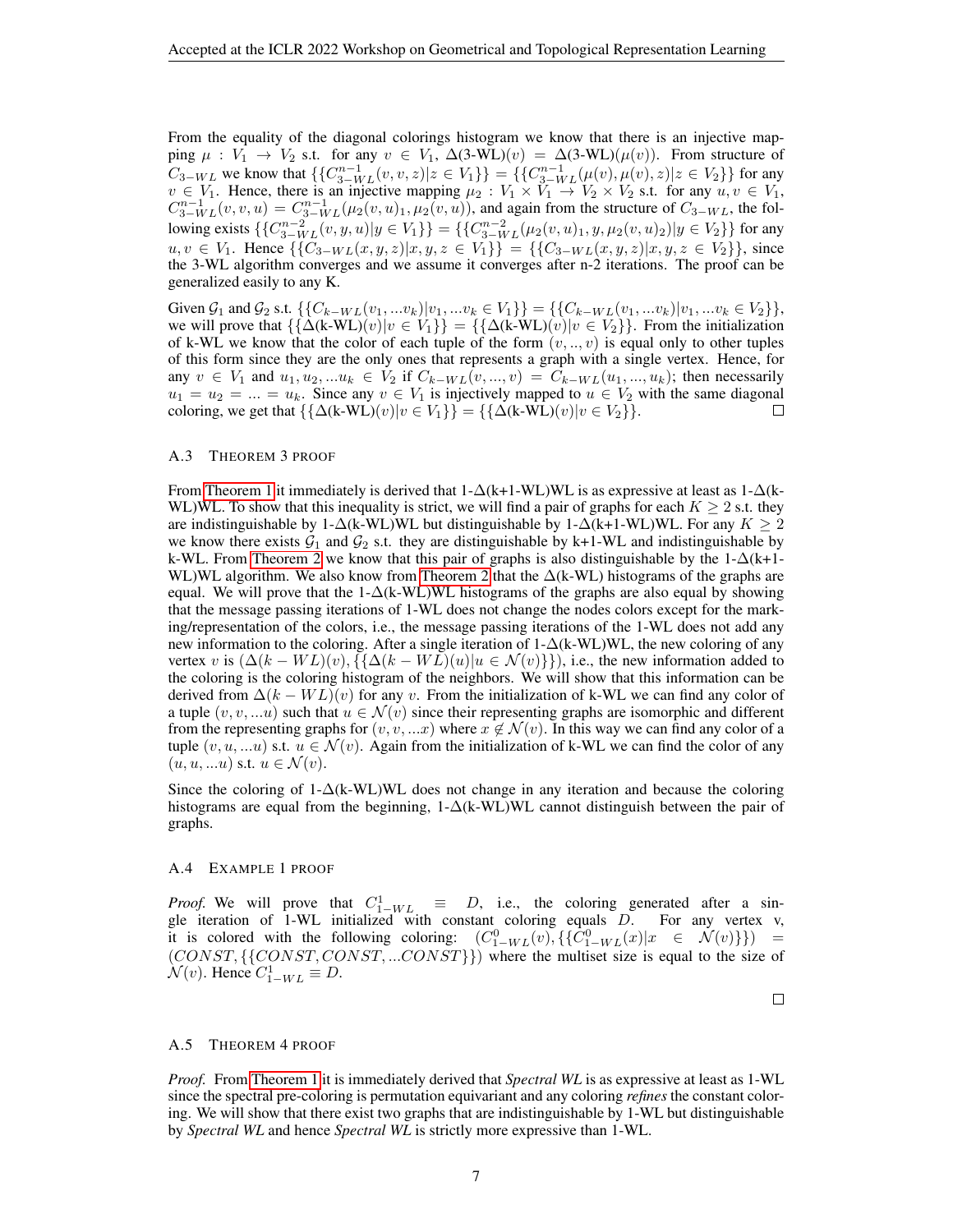From the equality of the diagonal colorings histogram we know that there is an injective mapping  $\mu : V_1 \to V_2$  s.t. for any  $v \in V_1$ ,  $\Delta(3-WL)(v) = \Delta(3-WL)(\mu(v))$ . From structure of  $C_{3-WL}$  we know that  $\{\{C_{3-WL}^{n-1}(v, v, z)|z \in V_1\}\} = \{\{C_{3-WL}^{n-1}(\mu(v), \mu(v), z)|z \in V_2\}\}\$  for any  $v \in V_1$ . Hence, there is an injective mapping  $\mu_2 : V_1 \times V_1 \to V_2 \times V_2$  s.t. for any  $u, v \in V_1$ ,  $C_{3-WL}^{n-1}(v, v, u) = C_{3-WL}^{n-1}(\mu_2(v, u)_1, \mu_2(v, u))$ , and again from the structure of  $C_{3-WL}$ , the following exists  $\{\{C_{3-WL}^{n-2}(v,y,u)|y \in V_1\}\} = \{\{C_{3-WL}^{n-2}(\mu_2(v,u)_1,y,\mu_2(v,u)_2)|y \in V_2\}\}$  for any  $u, v \in V_1$ . Hence  $\{\{C_{3-WL}(x,y,z)|x,y,z \in V_1\}\} = \{\{C_{3-WL}(x,y,z)|x,y,z \in V_2\}\}\$ , since the 3-WL algorithm converges and we assume it converges after n-2 iterations. The proof can be generalized easily to any K.

Given  $\mathcal{G}_1$  and  $\mathcal{G}_2$  s.t.  $\{\{C_{k-WL}(v_1,...v_k)|v_1,...v_k \in V_1\}\} = \{\{C_{k-WL}(v_1,...v_k)|v_1,...v_k \in V_2\}\},$ we will prove that  $\{\{\Delta(\mathbf{k}\cdot\mathbf{WL})(v)|v\in V_1\}\} = \{\{\Delta(\mathbf{k}\cdot\mathbf{WL})(v)|v\in V_2\}\}\.$  From the initialization of k-WL we know that the color of each tuple of the form  $(v, ..., v)$  is equal only to other tuples of this form since they are the only ones that represents a graph with a single vertex. Hence, for any  $v \in V_1$  and  $u_1, u_2, \ldots u_k \in V_2$  if  $C_{k-WL}(v, \ldots, v) = C_{k-WL}(u_1, \ldots, u_k)$ ; then necessarily  $u_1 = u_2 = ... = u_k$ . Since any  $v \in V_1$  is injectively mapped to  $u \in V_2$  with the same diagonal coloring, we get that  $\{\{\Delta(k-WL)(v)|v \in V_1\}\} = \{\{\Delta(k-WL)(v)|v \in V_2\}\}.$ П

#### A.3 THEOREM 3 PROOF

From [Theorem 1](#page-1-1) it immediately is derived that  $1-\Delta(k+1-WL)WL$  is as expressive at least as  $1-\Delta(k+1-WL)WL$ WL)WL. To show that this inequality is strict, we will find a pair of graphs for each  $K \geq 2$  s.t. they are indistinguishable by 1- $\Delta$ (k-WL)WL but distinguishable by 1- $\Delta$ (k+1-WL)WL. For any  $K \geq 2$ we know there exists  $G_1$  and  $G_2$  s.t. they are distinguishable by k+1-WL and indistinguishable by k-WL. From [Theorem 2](#page-1-3) we know that this pair of graphs is also distinguishable by the 1-∆(k+1- WL)WL algorithm. We also know from [Theorem 2](#page-1-3) that the ∆(k-WL) histograms of the graphs are equal. We will prove that the 1- $\Delta$ (k-WL)WL histograms of the graphs are also equal by showing that the message passing iterations of 1-WL does not change the nodes colors except for the marking/representation of the colors, i.e., the message passing iterations of the 1-WL does not add any new information to the coloring. After a single iteration of  $1-\Delta(k-WL)WL$ , the new coloring of any vertex v is  $(\Delta(k - WL)(v), \{\Delta(k - WL)(u)|u \in \mathcal{N}(v)\}\)$ , i.e., the new information added to the coloring is the coloring histogram of the neighbors. We will show that this information can be derived from  $\Delta(k - WL)(v)$  for any v. From the initialization of k-WL we can find any color of a tuple  $(v, v, ...u)$  such that  $u \in \mathcal{N}(v)$  since their representing graphs are isomorphic and different from the representing graphs for  $(v, v, ...x)$  where  $x \notin \mathcal{N}(v)$ . In this way we can find any color of a tuple  $(v, u, ...u)$  s.t.  $u \in \mathcal{N}(v)$ . Again from the initialization of k-WL we can find the color of any  $(u, u, ...u)$  s.t.  $u \in \mathcal{N}(v)$ .

Since the coloring of 1- $\Delta$ (k-WL)WL does not change in any iteration and because the coloring histograms are equal from the beginning, 1-∆(k-WL)WL cannot distinguish between the pair of graphs.

#### A.4 EXAMPLE 1 PROOF

*Proof.* We will prove that  $C_{1-WL}^1 \equiv D$ , i.e., the coloring generated after a single iteration of 1-WL initialized with constant coloring equals  $D$ . For any vertex v, it is colored with the following coloring:  $(C_{1-WL}^0(v), \{\{\overline{C}_{1-WL}^0(x)|x \in \mathcal{N}(v)\}\})$  =  $(CONST, \{CONST, CONST, ... CONST\})$  where the multiset size is equal to the size of  $\mathcal{N}(v)$ . Hence  $C_{1-WL}^1 \equiv D$ .

 $\Box$ 

#### A.5 THEOREM 4 PROOF

*Proof.* From [Theorem 1](#page-1-1) it is immediately derived that *Spectral WL* is as expressive at least as 1-WL since the spectral pre-coloring is permutation equivariant and any coloring *refines* the constant coloring. We will show that there exist two graphs that are indistinguishable by 1-WL but distinguishable by *Spectral WL* and hence *Spectral WL* is strictly more expressive than 1-WL.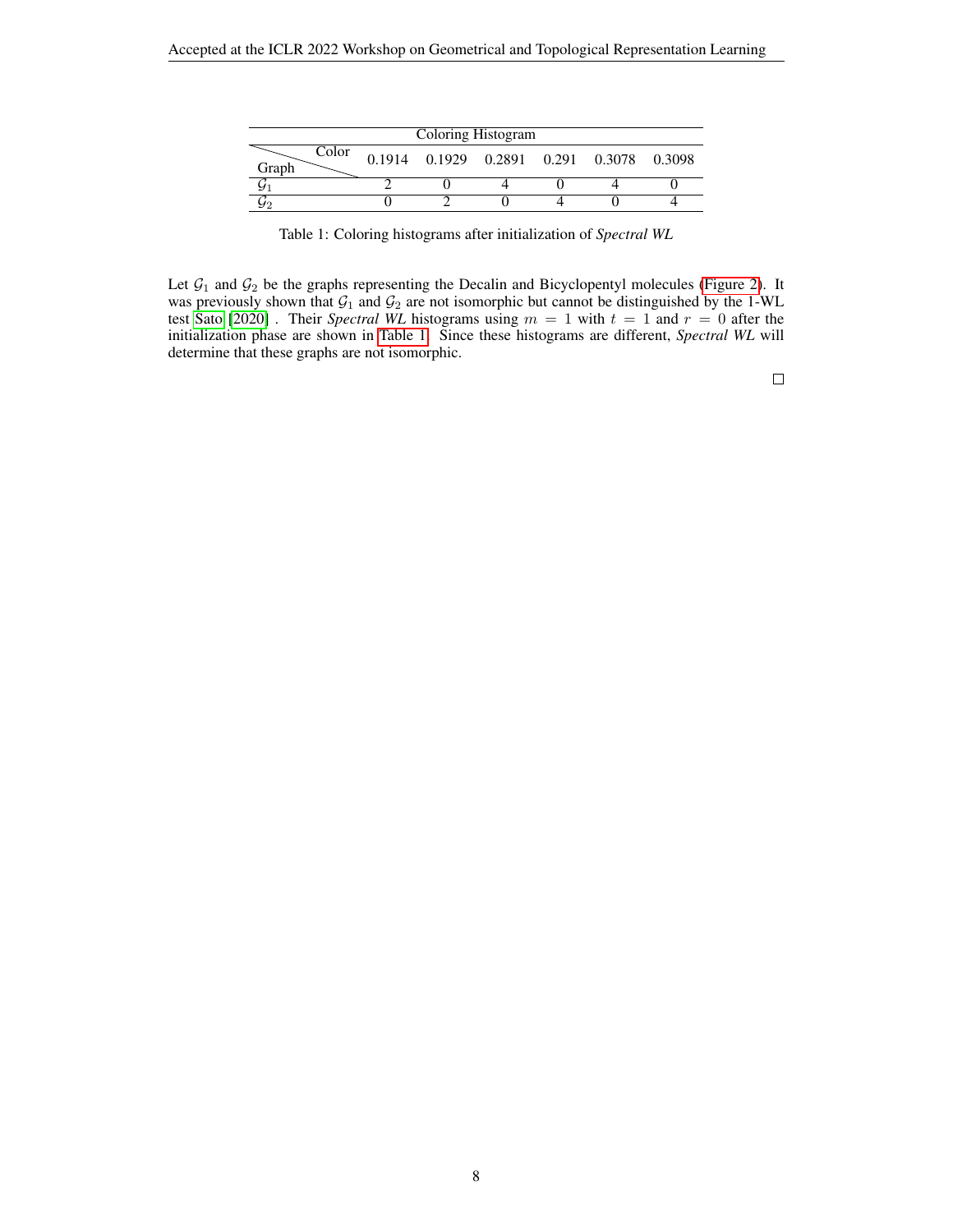| Coloring Histogram |  |                                          |  |  |  |  |
|--------------------|--|------------------------------------------|--|--|--|--|
| Color<br>Graph     |  | 0.1914 0.1929 0.2891 0.291 0.3078 0.3098 |  |  |  |  |
|                    |  |                                          |  |  |  |  |
|                    |  |                                          |  |  |  |  |

<span id="page-7-0"></span>Table 1: Coloring histograms after initialization of *Spectral WL*

Let  $G_1$  and  $G_2$  be the graphs representing the Decalin and Bicyclopentyl molecules [\(Figure 2\)](#page-8-0). It was previously shown that  $G_1$  and  $G_2$  are not isomorphic but cannot be distinguished by the 1-WL test [Sato](#page-4-1) [\[2020\]](#page-4-1) . Their *Spectral WL* histograms using  $m = 1$  with  $t = 1$  and  $r = 0$  after the initialization phase are shown in [Table 1.](#page-7-0) Since these histograms are different, *Spectral WL* will determine that these graphs are not isomorphic.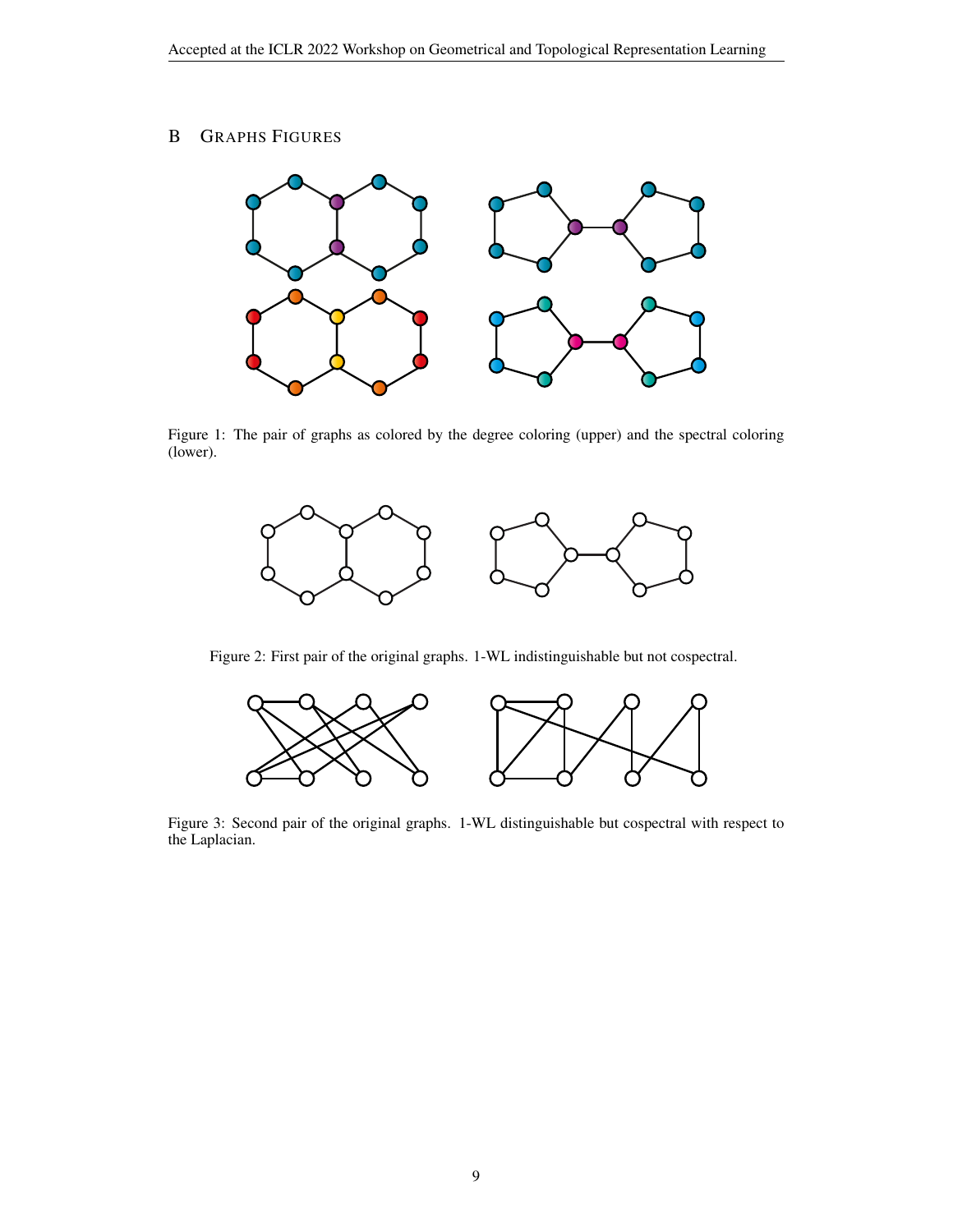# B GRAPHS FIGURES



<span id="page-8-1"></span>Figure 1: The pair of graphs as colored by the degree coloring (upper) and the spectral coloring (lower).



<span id="page-8-0"></span>Figure 2: First pair of the original graphs. 1-WL indistinguishable but not cospectral.



Figure 3: Second pair of the original graphs. 1-WL distinguishable but cospectral with respect to the Laplacian.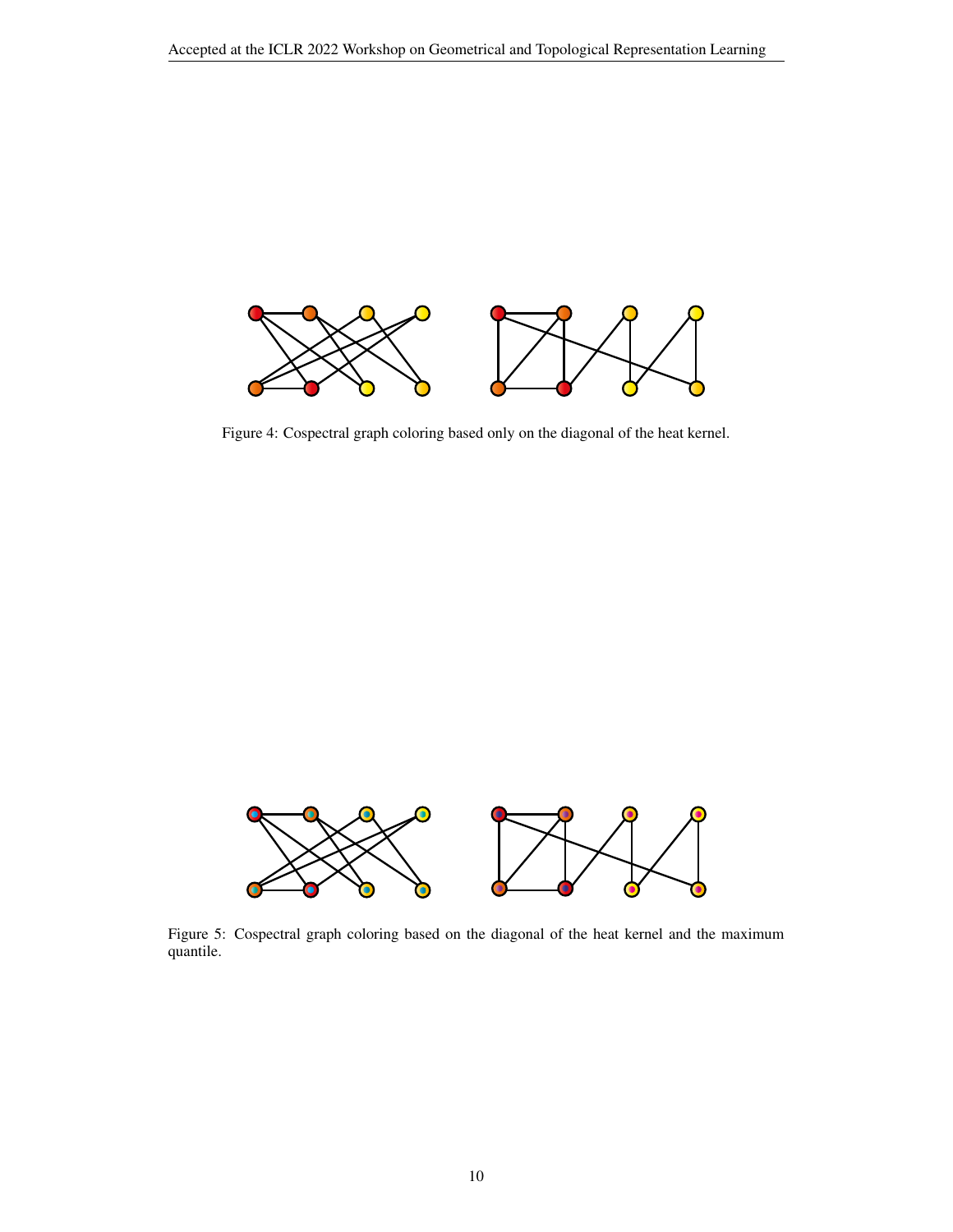

<span id="page-9-0"></span>Figure 4: Cospectral graph coloring based only on the diagonal of the heat kernel.



<span id="page-9-1"></span>Figure 5: Cospectral graph coloring based on the diagonal of the heat kernel and the maximum quantile.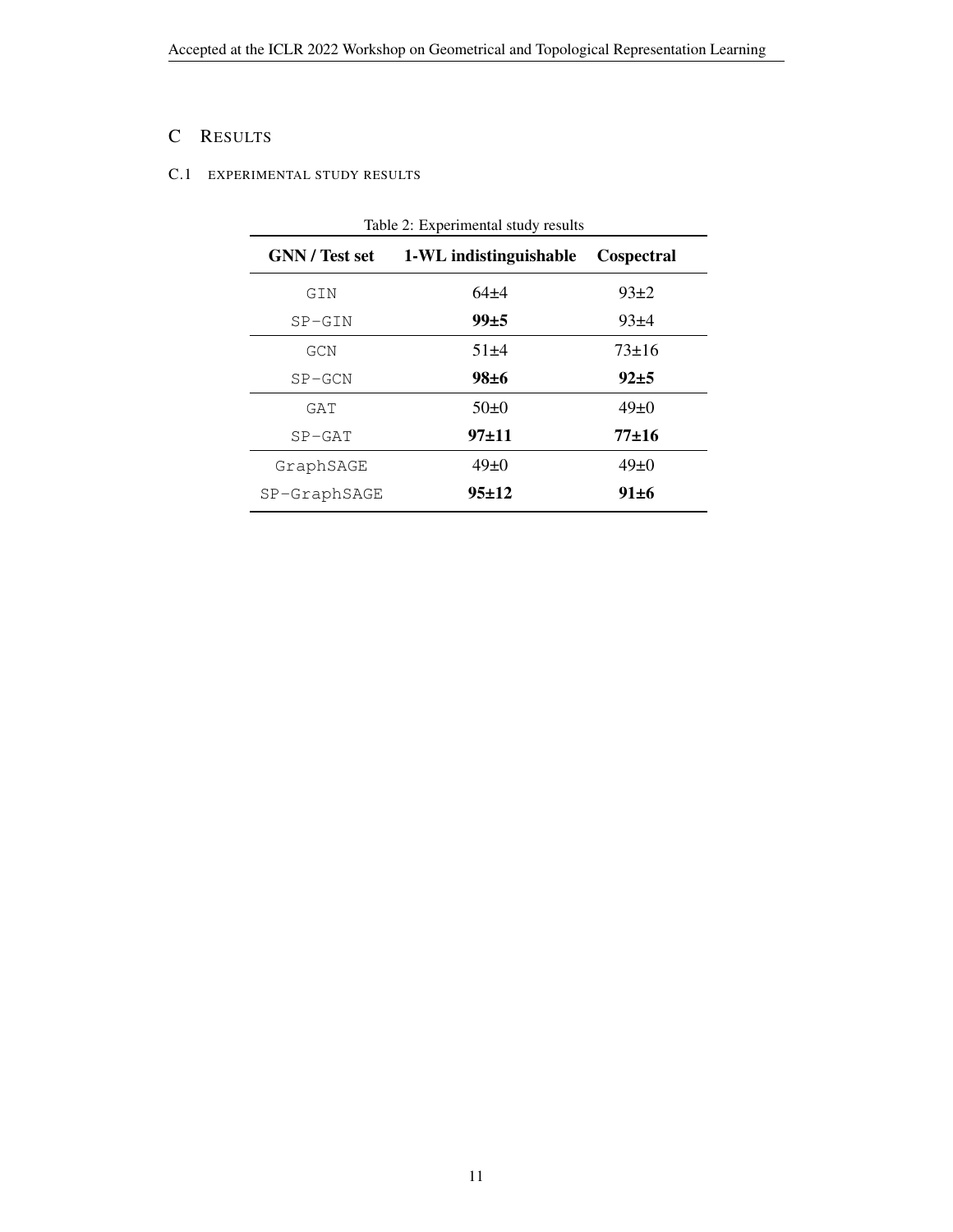# C RESULTS

# <span id="page-10-0"></span>C.1 EXPERIMENTAL STUDY RESULTS

| <b>GNN</b> / Test set | 1-WL indistinguishable | Cospectral  |  |
|-----------------------|------------------------|-------------|--|
| GIN                   | 64±4                   | $93+2$      |  |
| $SP-GIN$              | 99±5                   | $93+4$      |  |
| GCN                   | $51\pm4$               | $73 \pm 16$ |  |
| $SP-GCN$              | $98 \pm 6$             | $92+5$      |  |
| GAT                   | $50\pm0$               | $49\pm 0$   |  |
| $SP-GAT$              | 97±11                  | $77+16$     |  |
| GraphSAGE             | $49\pm 0$              | $49\pm 0$   |  |
| $SP-GraphSAGE$        | 95±12                  | $91 \pm 6$  |  |